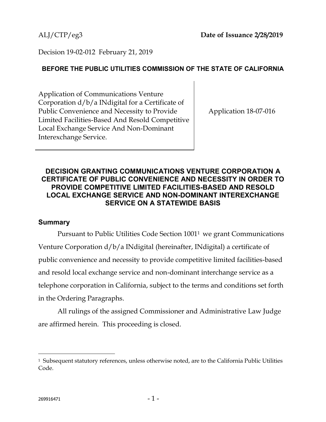Decision 19-02-012 February 21, 2019

## **BEFORE THE PUBLIC UTILITIES COMMISSION OF THE STATE OF CALIFORNIA**

Application of Communications Venture Corporation d/b/a INdigital for a Certificate of Public Convenience and Necessity to Provide Limited Facilities-Based And Resold Competitive Local Exchange Service And Non-Dominant Interexchange Service.

Application 18-07-016

## **DECISION GRANTING COMMUNICATIONS VENTURE CORPORATION A CERTIFICATE OF PUBLIC CONVENIENCE AND NECESSITY IN ORDER TO PROVIDE COMPETITIVE LIMITED FACILITIES-BASED AND RESOLD LOCAL EXCHANGE SERVICE AND NON-DOMINANT INTEREXCHANGE SERVICE ON A STATEWIDE BASIS**

#### **Summary**

Pursuant to Public Utilities Code Section 1001<sup>1</sup> we grant Communications Venture Corporation d/b/a INdigital (hereinafter, INdigital) a certificate of public convenience and necessity to provide competitive limited facilities-based and resold local exchange service and non-dominant interchange service as a telephone corporation in California, subject to the terms and conditions set forth in the Ordering Paragraphs.

All rulings of the assigned Commissioner and Administrative Law Judge are affirmed herein. This proceeding is closed.

<sup>1</sup> Subsequent statutory references, unless otherwise noted, are to the California Public Utilities Code.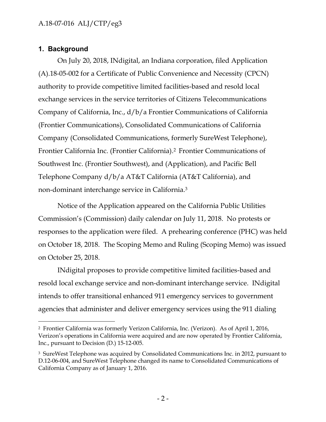## **1. Background**

 $\overline{a}$ 

On July 20, 2018, INdigital, an Indiana corporation, filed Application (A).18-05-002 for a Certificate of Public Convenience and Necessity (CPCN) authority to provide competitive limited facilities-based and resold local exchange services in the service territories of Citizens Telecommunications Company of California, Inc., d/b/a Frontier Communications of California (Frontier Communications), Consolidated Communications of California Company (Consolidated Communications, formerly SureWest Telephone), Frontier California Inc. (Frontier California). <sup>2</sup> Frontier Communications of Southwest Inc. (Frontier Southwest), and (Application), and Pacific Bell Telephone Company d/b/a AT&T California (AT&T California), and non-dominant interchange service in California. 3

Notice of the Application appeared on the California Public Utilities Commission's (Commission) daily calendar on July 11, 2018. No protests or responses to the application were filed. A prehearing conference (PHC) was held on October 18, 2018. The Scoping Memo and Ruling (Scoping Memo) was issued on October 25, 2018.

INdigital proposes to provide competitive limited facilities-based and resold local exchange service and non-dominant interchange service. INdigital intends to offer transitional enhanced 911 emergency services to government agencies that administer and deliver emergency services using the 911 dialing

<sup>2</sup> Frontier California was formerly Verizon California, Inc. (Verizon). As of April 1, 2016, Verizon's operations in California were acquired and are now operated by Frontier California, Inc., pursuant to Decision (D.) 15-12-005.

<sup>3</sup> SureWest Telephone was acquired by Consolidated Communications Inc. in 2012, pursuant to D.12-06-004, and SureWest Telephone changed its name to Consolidated Communications of California Company as of January 1, 2016.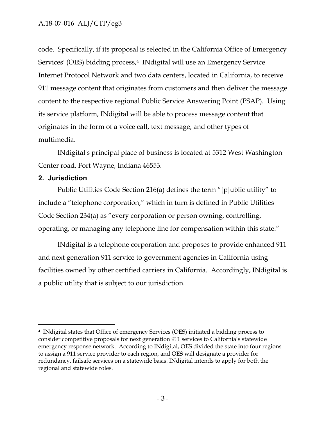code. Specifically, if its proposal is selected in the California Office of Emergency Services' (OES) bidding process,<sup>4</sup> INdigital will use an Emergency Service Internet Protocol Network and two data centers, located in California, to receive 911 message content that originates from customers and then deliver the message content to the respective regional Public Service Answering Point (PSAP). Using its service platform, INdigital will be able to process message content that originates in the form of a voice call, text message, and other types of multimedia.

INdigital's principal place of business is located at 5312 West Washington Center road, Fort Wayne, Indiana 46553.

### **2. Jurisdiction**

 $\overline{a}$ 

Public Utilities Code Section 216(a) defines the term "[p]ublic utility" to include a "telephone corporation," which in turn is defined in Public Utilities Code Section 234(a) as "every corporation or person owning, controlling, operating, or managing any telephone line for compensation within this state."

INdigital is a telephone corporation and proposes to provide enhanced 911 and next generation 911 service to government agencies in California using facilities owned by other certified carriers in California. Accordingly, INdigital is a public utility that is subject to our jurisdiction.

<sup>4</sup> INdigital states that Office of emergency Services (OES) initiated a bidding process to consider competitive proposals for next generation 911 services to California's statewide emergency response network. According to INdigital, OES divided the state into four regions to assign a 911 service provider to each region, and OES will designate a provider for redundancy, failsafe services on a statewide basis. INdigital intends to apply for both the regional and statewide roles.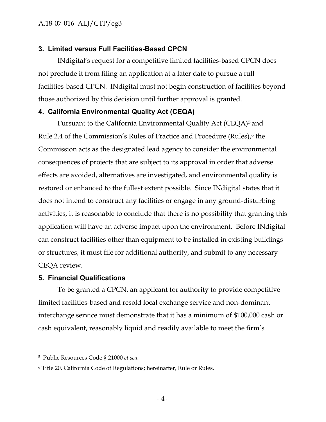## **3. Limited versus Full Facilities-Based CPCN**

INdigital's request for a competitive limited facilities-based CPCN does not preclude it from filing an application at a later date to pursue a full facilities-based CPCN. INdigital must not begin construction of facilities beyond those authorized by this decision until further approval is granted.

## **4. California Environmental Quality Act (CEQA)**

Pursuant to the California Environmental Quality Act (CEQA)<sup>5</sup> and Rule 2.4 of the Commission's Rules of Practice and Procedure (Rules), <sup>6</sup> the Commission acts as the designated lead agency to consider the environmental consequences of projects that are subject to its approval in order that adverse effects are avoided, alternatives are investigated, and environmental quality is restored or enhanced to the fullest extent possible. Since INdigital states that it does not intend to construct any facilities or engage in any ground-disturbing activities, it is reasonable to conclude that there is no possibility that granting this application will have an adverse impact upon the environment. Before INdigital can construct facilities other than equipment to be installed in existing buildings or structures, it must file for additional authority, and submit to any necessary CEQA review.

## **5. Financial Qualifications**

To be granted a CPCN, an applicant for authority to provide competitive limited facilities-based and resold local exchange service and non-dominant interchange service must demonstrate that it has a minimum of \$100,000 cash or cash equivalent, reasonably liquid and readily available to meet the firm's

<sup>5</sup> Public Resources Code § 21000 *et seq*.

<sup>6</sup> Title 20, California Code of Regulations; hereinafter, Rule or Rules.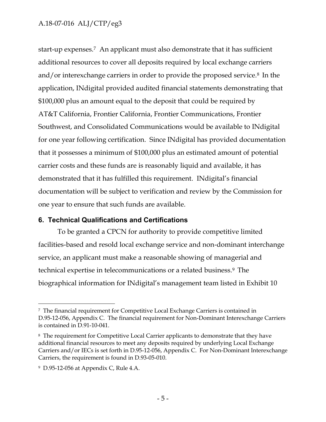start-up expenses.7 An applicant must also demonstrate that it has sufficient additional resources to cover all deposits required by local exchange carriers and/or interexchange carriers in order to provide the proposed service.<sup>8</sup> In the application, INdigital provided audited financial statements demonstrating that \$100,000 plus an amount equal to the deposit that could be required by AT&T California, Frontier California, Frontier Communications, Frontier Southwest, and Consolidated Communications would be available to INdigital for one year following certification. Since INdigital has provided documentation that it possesses a minimum of \$100,000 plus an estimated amount of potential carrier costs and these funds are is reasonably liquid and available, it has demonstrated that it has fulfilled this requirement. INdigital's financial documentation will be subject to verification and review by the Commission for one year to ensure that such funds are available.

## **6. Technical Qualifications and Certifications**

To be granted a CPCN for authority to provide competitive limited facilities-based and resold local exchange service and non-dominant interchange service, an applicant must make a reasonable showing of managerial and technical expertise in telecommunications or a related business.<sup>9</sup> The biographical information for INdigital's management team listed in Exhibit 10

<sup>7</sup> The financial requirement for Competitive Local Exchange Carriers is contained in D.95-12-056, Appendix C. The financial requirement for Non-Dominant Interexchange Carriers is contained in D.91-10-041.

<sup>8</sup> The requirement for Competitive Local Carrier applicants to demonstrate that they have additional financial resources to meet any deposits required by underlying Local Exchange Carriers and/or IECs is set forth in D.95-12-056, Appendix C. For Non-Dominant Interexchange Carriers, the requirement is found in D.93-05-010.

<sup>9</sup> D.95-12-056 at Appendix C, Rule 4.A.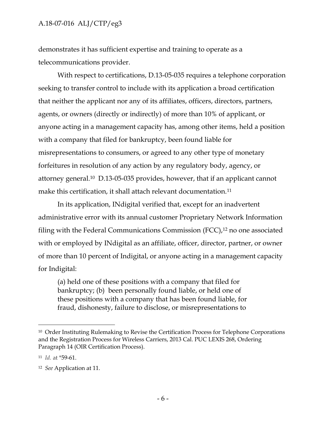demonstrates it has sufficient expertise and training to operate as a telecommunications provider.

With respect to certifications, D.13-05-035 requires a telephone corporation seeking to transfer control to include with its application a broad certification that neither the applicant nor any of its affiliates, officers, directors, partners, agents, or owners (directly or indirectly) of more than 10% of applicant, or anyone acting in a management capacity has, among other items, held a position with a company that filed for bankruptcy, been found liable for misrepresentations to consumers, or agreed to any other type of monetary forfeitures in resolution of any action by any regulatory body, agency, or attorney general.<sup>10</sup> D.13-05-035 provides, however, that if an applicant cannot make this certification, it shall attach relevant documentation.<sup>11</sup>

In its application, INdigital verified that, except for an inadvertent administrative error with its annual customer Proprietary Network Information filing with the Federal Communications Commission (FCC), <sup>12</sup> no one associated with or employed by INdigital as an affiliate, officer, director, partner, or owner of more than 10 percent of Indigital, or anyone acting in a management capacity for Indigital:

(a) held one of these positions with a company that filed for bankruptcy; (b) been personally found liable, or held one of these positions with a company that has been found liable, for fraud, dishonesty, failure to disclose, or misrepresentations to

<sup>&</sup>lt;sup>10</sup> Order Instituting Rulemaking to Revise the Certification Process for Telephone Corporations and the Registration Process for Wireless Carriers, 2013 Cal. PUC LEXIS 268, Ordering Paragraph 14 (OIR Certification Process).

<sup>11</sup> *Id.* at \*59-61.

<sup>12</sup> *See* Application at 11.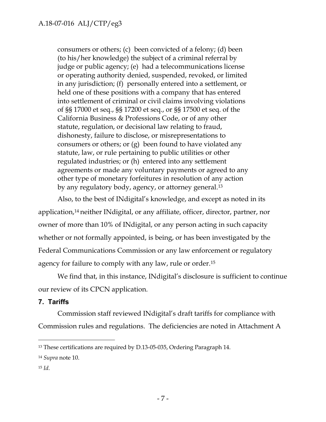consumers or others; (c) been convicted of a felony; (d) been (to his/her knowledge) the subject of a criminal referral by judge or public agency; (e) had a telecommunications license or operating authority denied, suspended, revoked, or limited in any jurisdiction; (f) personally entered into a settlement, or held one of these positions with a company that has entered into settlement of criminal or civil claims involving violations of §§ 17000 et seq., §§ 17200 et seq., or §§ 17500 et seq. of the California Business & Professions Code, or of any other statute, regulation, or decisional law relating to fraud, dishonesty, failure to disclose, or misrepresentations to consumers or others; or (g) been found to have violated any statute, law, or rule pertaining to public utilities or other regulated industries; or (h) entered into any settlement agreements or made any voluntary payments or agreed to any other type of monetary forfeitures in resolution of any action by any regulatory body, agency, or attorney general. 13

Also, to the best of INdigital's knowledge, and except as noted in its

application,<sup>14</sup> neither INdigital, or any affiliate, officer, director, partner, nor owner of more than 10% of INdigital, or any person acting in such capacity whether or not formally appointed, is being, or has been investigated by the Federal Communications Commission or any law enforcement or regulatory agency for failure to comply with any law, rule or order.<sup>15</sup>

We find that, in this instance, INdigital's disclosure is sufficient to continue our review of its CPCN application.

#### **7. Tariffs**

Commission staff reviewed INdigital's draft tariffs for compliance with Commission rules and regulations. The deficiencies are noted in Attachment A

<sup>15</sup> *Id*.

<sup>13</sup> These certifications are required by D.13-05-035, Ordering Paragraph 14.

<sup>14</sup> *Supra* note 10.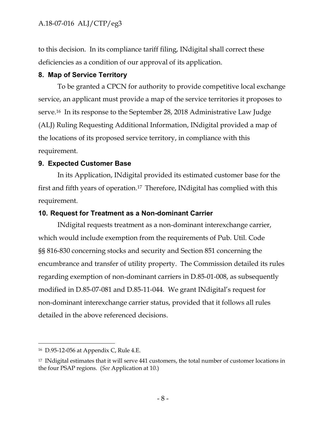to this decision. In its compliance tariff filing, INdigital shall correct these deficiencies as a condition of our approval of its application.

## **8. Map of Service Territory**

To be granted a CPCN for authority to provide competitive local exchange service, an applicant must provide a map of the service territories it proposes to serve.16 In its response to the September 28, 2018 Administrative Law Judge (ALJ) Ruling Requesting Additional Information, INdigital provided a map of the locations of its proposed service territory, in compliance with this requirement.

## **9. Expected Customer Base**

In its Application, INdigital provided its estimated customer base for the first and fifth years of operation. <sup>17</sup> Therefore, INdigital has complied with this requirement.

## **10. Request for Treatment as a Non-dominant Carrier**

INdigital requests treatment as a non-dominant interexchange carrier, which would include exemption from the requirements of Pub. Util. Code §§ 816-830 concerning stocks and security and Section 851 concerning the encumbrance and transfer of utility property. The Commission detailed its rules regarding exemption of non-dominant carriers in D.85-01-008, as subsequently modified in D.85-07-081 and D.85-11-044. We grant INdigital's request for non-dominant interexchange carrier status, provided that it follows all rules detailed in the above referenced decisions.

<sup>16</sup> D.95-12-056 at Appendix C, Rule 4.E.

<sup>17</sup> INdigital estimates that it will serve 441 customers, the total number of customer locations in the four PSAP regions. (*See* Application at 10.)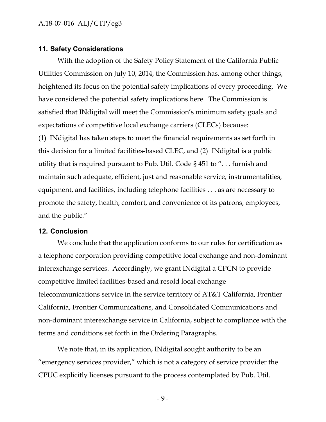#### **11. Safety Considerations**

With the adoption of the Safety Policy Statement of the California Public Utilities Commission on July 10, 2014, the Commission has, among other things, heightened its focus on the potential safety implications of every proceeding. We have considered the potential safety implications here. The Commission is satisfied that INdigital will meet the Commission's minimum safety goals and expectations of competitive local exchange carriers (CLECs) because: (1) INdigital has taken steps to meet the financial requirements as set forth in this decision for a limited facilities-based CLEC, and (2) INdigital is a public utility that is required pursuant to Pub. Util. Code § 451 to ". . . furnish and maintain such adequate, efficient, just and reasonable service, instrumentalities, equipment, and facilities, including telephone facilities . . . as are necessary to promote the safety, health, comfort, and convenience of its patrons, employees, and the public."

#### **12. Conclusion**

We conclude that the application conforms to our rules for certification as a telephone corporation providing competitive local exchange and non-dominant interexchange services. Accordingly, we grant INdigital a CPCN to provide competitive limited facilities-based and resold local exchange telecommunications service in the service territory of AT&T California, Frontier California, Frontier Communications, and Consolidated Communications and non-dominant interexchange service in California, subject to compliance with the terms and conditions set forth in the Ordering Paragraphs.

We note that, in its application, INdigital sought authority to be an "emergency services provider," which is not a category of service provider the CPUC explicitly licenses pursuant to the process contemplated by Pub. Util.

- 9 -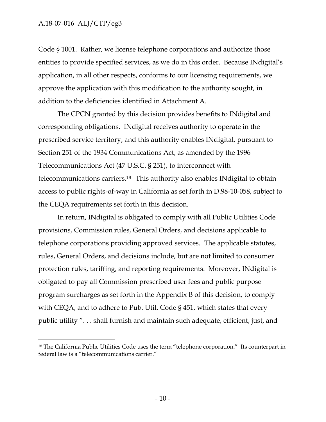$\overline{a}$ 

Code § 1001. Rather, we license telephone corporations and authorize those entities to provide specified services, as we do in this order. Because INdigital's application, in all other respects, conforms to our licensing requirements, we approve the application with this modification to the authority sought, in addition to the deficiencies identified in Attachment A.

The CPCN granted by this decision provides benefits to INdigital and corresponding obligations. INdigital receives authority to operate in the prescribed service territory, and this authority enables INdigital, pursuant to Section 251 of the 1934 Communications Act, as amended by the 1996 Telecommunications Act (47 U.S.C. § 251), to interconnect with telecommunications carriers.18 This authority also enables INdigital to obtain access to public rights-of-way in California as set forth in D.98-10-058, subject to the CEQA requirements set forth in this decision.

In return, INdigital is obligated to comply with all Public Utilities Code provisions, Commission rules, General Orders, and decisions applicable to telephone corporations providing approved services. The applicable statutes, rules, General Orders, and decisions include, but are not limited to consumer protection rules, tariffing, and reporting requirements. Moreover, INdigital is obligated to pay all Commission prescribed user fees and public purpose program surcharges as set forth in the Appendix B of this decision, to comply with CEQA, and to adhere to Pub. Util. Code § 451, which states that every public utility ". . . shall furnish and maintain such adequate, efficient, just, and

<sup>&</sup>lt;sup>18</sup> The California Public Utilities Code uses the term "telephone corporation." Its counterpart in federal law is a "telecommunications carrier."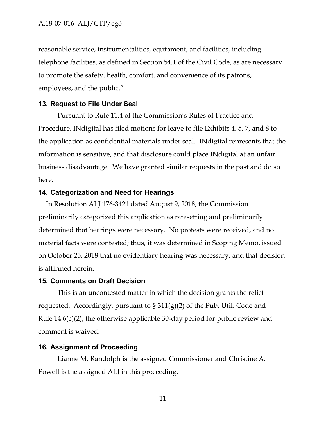reasonable service, instrumentalities, equipment, and facilities, including telephone facilities, as defined in Section 54.1 of the Civil Code, as are necessary to promote the safety, health, comfort, and convenience of its patrons, employees, and the public."

## **13. Request to File Under Seal**

Pursuant to Rule 11.4 of the Commission's Rules of Practice and Procedure, INdigital has filed motions for leave to file Exhibits 4, 5, 7, and 8 to the application as confidential materials under seal. INdigital represents that the information is sensitive, and that disclosure could place INdigital at an unfair business disadvantage. We have granted similar requests in the past and do so here.

## **14. Categorization and Need for Hearings**

In Resolution ALJ 176-3421 dated August 9, 2018, the Commission preliminarily categorized this application as ratesetting and preliminarily determined that hearings were necessary. No protests were received, and no material facts were contested; thus, it was determined in Scoping Memo, issued on October 25, 2018 that no evidentiary hearing was necessary, and that decision is affirmed herein.

### **15. Comments on Draft Decision**

This is an uncontested matter in which the decision grants the relief requested. Accordingly, pursuant to  $\S 311(g)(2)$  of the Pub. Util. Code and Rule 14.6(c)(2), the otherwise applicable 30-day period for public review and comment is waived.

## **16. Assignment of Proceeding**

Lianne M. Randolph is the assigned Commissioner and Christine A. Powell is the assigned ALJ in this proceeding.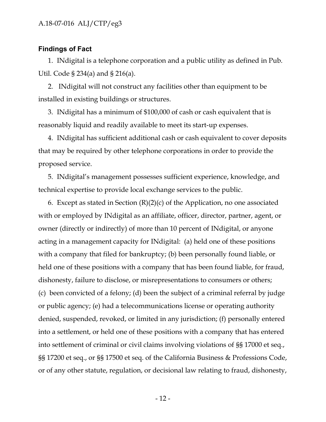#### **Findings of Fact**

1. INdigital is a telephone corporation and a public utility as defined in Pub. Util. Code § 234(a) and § 216(a).

2. INdigital will not construct any facilities other than equipment to be installed in existing buildings or structures.

3. INdigital has a minimum of \$100,000 of cash or cash equivalent that is reasonably liquid and readily available to meet its start-up expenses.

4. INdigital has sufficient additional cash or cash equivalent to cover deposits that may be required by other telephone corporations in order to provide the proposed service.

5. INdigital's management possesses sufficient experience, knowledge, and technical expertise to provide local exchange services to the public.

6. Except as stated in Section  $(R)(2)(c)$  of the Application, no one associated with or employed by INdigital as an affiliate, officer, director, partner, agent, or owner (directly or indirectly) of more than 10 percent of INdigital, or anyone acting in a management capacity for INdigital: (a) held one of these positions with a company that filed for bankruptcy; (b) been personally found liable, or held one of these positions with a company that has been found liable, for fraud, dishonesty, failure to disclose, or misrepresentations to consumers or others; (c) been convicted of a felony; (d) been the subject of a criminal referral by judge or public agency; (e) had a telecommunications license or operating authority denied, suspended, revoked, or limited in any jurisdiction; (f) personally entered into a settlement, or held one of these positions with a company that has entered into settlement of criminal or civil claims involving violations of §§ 17000 et seq., §§ 17200 et seq., or §§ 17500 et seq. of the California Business & Professions Code, or of any other statute, regulation, or decisional law relating to fraud, dishonesty,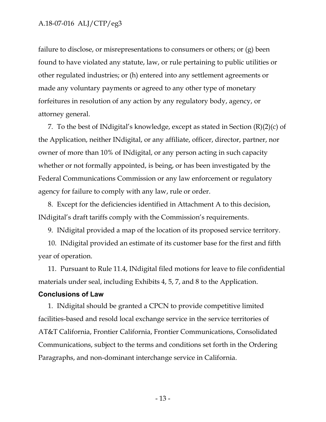failure to disclose, or misrepresentations to consumers or others; or (g) been found to have violated any statute, law, or rule pertaining to public utilities or other regulated industries; or (h) entered into any settlement agreements or made any voluntary payments or agreed to any other type of monetary forfeitures in resolution of any action by any regulatory body, agency, or attorney general.

7. To the best of INdigital's knowledge, except as stated in Section (R)(2)(c) of the Application, neither INdigital, or any affiliate, officer, director, partner, nor owner of more than 10% of INdigital, or any person acting in such capacity whether or not formally appointed, is being, or has been investigated by the Federal Communications Commission or any law enforcement or regulatory agency for failure to comply with any law, rule or order.

8. Except for the deficiencies identified in Attachment A to this decision, INdigital's draft tariffs comply with the Commission's requirements.

9. INdigital provided a map of the location of its proposed service territory.

10. INdigital provided an estimate of its customer base for the first and fifth year of operation.

11. Pursuant to Rule 11.4, INdigital filed motions for leave to file confidential materials under seal, including Exhibits 4, 5, 7, and 8 to the Application.

#### **Conclusions of Law**

1. INdigital should be granted a CPCN to provide competitive limited facilities-based and resold local exchange service in the service territories of AT&T California, Frontier California, Frontier Communications, Consolidated Communications, subject to the terms and conditions set forth in the Ordering Paragraphs, and non-dominant interchange service in California.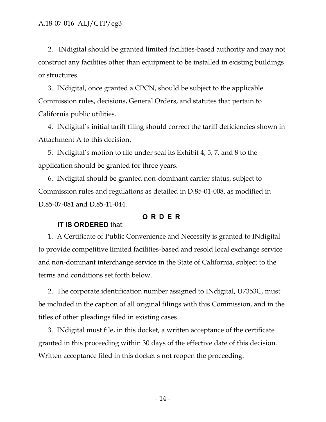2. INdigital should be granted limited facilities-based authority and may not construct any facilities other than equipment to be installed in existing buildings or structures.

3. INdigital, once granted a CPCN, should be subject to the applicable Commission rules, decisions, General Orders, and statutes that pertain to California public utilities.

4. INdigital's initial tariff filing should correct the tariff deficiencies shown in Attachment A to this decision.

5. INdigital's motion to file under seal its Exhibit 4, 5, 7, and 8 to the application should be granted for three years.

6. INdigital should be granted non-dominant carrier status, subject to Commission rules and regulations as detailed in D.85-01-008, as modified in D.85-07-081 and D.85-11-044.

## **ORDER**

## **IT IS ORDERED** that:

1. A Certificate of Public Convenience and Necessity is granted to INdigital to provide competitive limited facilities-based and resold local exchange service and non-dominant interchange service in the State of California, subject to the terms and conditions set forth below.

2. The corporate identification number assigned to INdigital, U7353C, must be included in the caption of all original filings with this Commission, and in the titles of other pleadings filed in existing cases.

3. INdigital must file, in this docket, a written acceptance of the certificate granted in this proceeding within 30 days of the effective date of this decision. Written acceptance filed in this docket s not reopen the proceeding.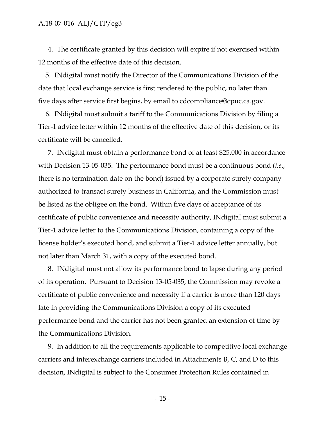4. The certificate granted by this decision will expire if not exercised within 12 months of the effective date of this decision.

5. INdigital must notify the Director of the Communications Division of the date that local exchange service is first rendered to the public, no later than five days after service first begins, by email to [cdcompliance@cpuc.ca.gov.](mailto:cdcompliance@cpuc.ca.gov)

6. INdigital must submit a tariff to the Communications Division by filing a Tier-1 advice letter within 12 months of the effective date of this decision, or its certificate will be cancelled.

7. INdigital must obtain a performance bond of at least \$25,000 in accordance with Decision 13-05-035. The performance bond must be a continuous bond (*i.e*., there is no termination date on the bond) issued by a corporate surety company authorized to transact surety business in California, and the Commission must be listed as the obligee on the bond. Within five days of acceptance of its certificate of public convenience and necessity authority, INdigital must submit a Tier-1 advice letter to the Communications Division, containing a copy of the license holder's executed bond, and submit a Tier-1 advice letter annually, but not later than March 31, with a copy of the executed bond.

8. INdigital must not allow its performance bond to lapse during any period of its operation. Pursuant to Decision 13-05-035, the Commission may revoke a certificate of public convenience and necessity if a carrier is more than 120 days late in providing the Communications Division a copy of its executed performance bond and the carrier has not been granted an extension of time by the Communications Division.

9. In addition to all the requirements applicable to competitive local exchange carriers and interexchange carriers included in Attachments B, C, and D to this decision, INdigital is subject to the Consumer Protection Rules contained in

- 15 -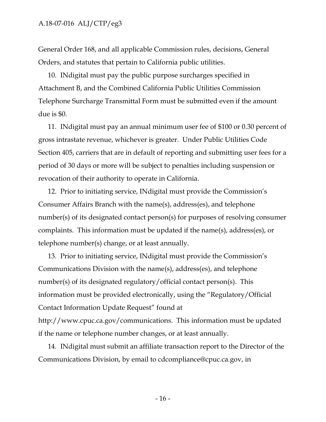General Order 168, and all applicable Commission rules, decisions, General Orders, and statutes that pertain to California public utilities.

10. INdigital must pay the public purpose surcharges specified in Attachment B, and the Combined California Public Utilities Commission Telephone Surcharge Transmittal Form must be submitted even if the amount due is \$0.

11. INdigital must pay an annual minimum user fee of \$100 or 0.30 percent of gross intrastate revenue, whichever is greater. Under Public Utilities Code Section 405, carriers that are in default of reporting and submitting user fees for a period of 30 days or more will be subject to penalties including suspension or revocation of their authority to operate in California.

12. Prior to initiating service, INdigital must provide the Commission's Consumer Affairs Branch with the name(s), address(es), and telephone number(s) of its designated contact person(s) for purposes of resolving consumer complaints. This information must be updated if the name(s), address(es), or telephone number(s) change, or at least annually.

13. Prior to initiating service, INdigital must provide the Commission's Communications Division with the name(s), address(es), and telephone number(s) of its designated regulatory/official contact person(s). This information must be provided electronically, using the "Regulatory/Official Contact Information Update Request" found at [http://www.cpuc.ca.gov/communications.](http://www.cpuc.ca.gov/communications) This information must be updated if the name or telephone number changes, or at least annually.

14. INdigital must submit an affiliate transaction report to the Director of the Communications Division, by email to [cdcompliance@cpuc.ca.gov,](mailto:cdcompliance@cpuc.ca.gov) in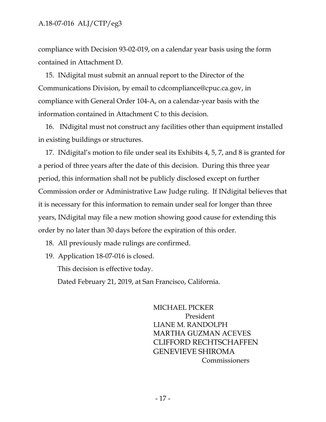compliance with Decision 93-02-019, on a calendar year basis using the form contained in Attachment D.

15. INdigital must submit an annual report to the Director of the Communications Division, by email to [cdcompliance@cpuc.ca.gov,](mailto:cdcompliance@cpuc.ca.gov) in compliance with General Order 104-A, on a calendar-year basis with the information contained in Attachment C to this decision.

16. INdigital must not construct any facilities other than equipment installed in existing buildings or structures.

17. INdigital's motion to file under seal its Exhibits 4, 5, 7, and 8 is granted for a period of three years after the date of this decision. During this three year period, this information shall not be publicly disclosed except on further Commission order or Administrative Law Judge ruling. If INdigital believes that it is necessary for this information to remain under seal for longer than three years, INdigital may file a new motion showing good cause for extending this order by no later than 30 days before the expiration of this order.

18. All previously made rulings are confirmed.

19. Application 18-07-016 is closed.

This decision is effective today.

Dated February 21, 2019, at San Francisco, California.

MICHAEL PICKER President LIANE M. RANDOLPH MARTHA GUZMAN ACEVES CLIFFORD RECHTSCHAFFEN GENEVIEVE SHIROMA Commissioners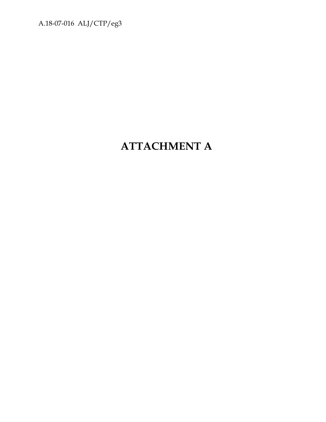# **ATTACHMENT A**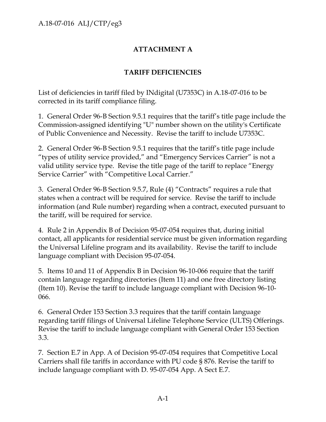## **ATTACHMENT A**

## **TARIFF DEFICIENCIES**

List of deficiencies in tariff filed by INdigital (U7353C) in A.18-07-016 to be corrected in its tariff compliance filing.

1. General Order 96-B Section 9.5.1 requires that the tariff's title page include the Commission-assigned identifying "U" number shown on the utility's Certificate of Public Convenience and Necessity. Revise the tariff to include U7353C.

2. General Order 96-B Section 9.5.1 requires that the tariff's title page include "types of utility service provided," and "Emergency Services Carrier" is not a valid utility service type. Revise the title page of the tariff to replace "Energy Service Carrier" with "Competitive Local Carrier."

3. General Order 96-B Section 9.5.7, Rule (4) "Contracts" requires a rule that states when a contract will be required for service. Revise the tariff to include information (and Rule number) regarding when a contract, executed pursuant to the tariff, will be required for service.

4. Rule 2 in Appendix B of Decision 95-07-054 requires that, during initial contact, all applicants for residential service must be given information regarding the Universal Lifeline program and its availability. Revise the tariff to include language compliant with Decision 95-07-054.

5. Items 10 and 11 of Appendix B in Decision 96-10-066 require that the tariff contain language regarding directories (Item 11) and one free directory listing (Item 10). Revise the tariff to include language compliant with Decision 96-10- 066.

6. General Order 153 Section 3.3 requires that the tariff contain language regarding tariff filings of Universal Lifeline Telephone Service (ULTS) Offerings. Revise the tariff to include language compliant with General Order 153 Section 3.3.

7. Section E.7 in App. A of Decision 95-07-054 requires that Competitive Local Carriers shall file tariffs in accordance with PU code § 876. Revise the tariff to include language compliant with D. 95-07-054 App. A Sect E.7.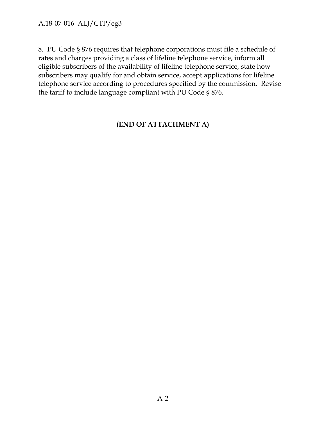8. PU Code § 876 requires that telephone corporations must file a schedule of rates and charges providing a class of lifeline telephone service, inform all eligible subscribers of the availability of lifeline telephone service, state how subscribers may qualify for and obtain service, accept applications for lifeline telephone service according to procedures specified by the commission. Revise the tariff to include language compliant with PU Code § 876.

## **(END OF ATTACHMENT A)**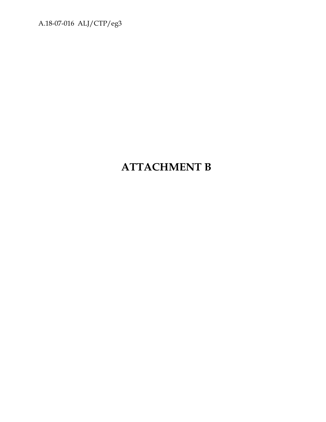## **ATTACHMENT B**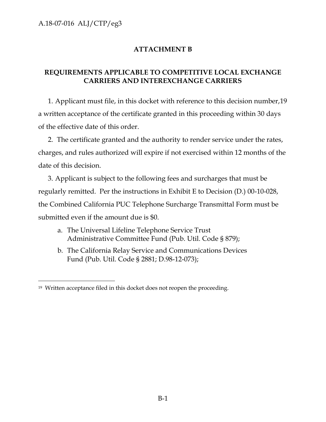$\overline{a}$ 

## **ATTACHMENT B**

## **REQUIREMENTS APPLICABLE TO COMPETITIVE LOCAL EXCHANGE CARRIERS AND INTEREXCHANGE CARRIERS**

1. Applicant must file, in this docket with reference to this decision number,19 a written acceptance of the certificate granted in this proceeding within 30 days of the effective date of this order.

2. The certificate granted and the authority to render service under the rates, charges, and rules authorized will expire if not exercised within 12 months of the date of this decision.

3. Applicant is subject to the following fees and surcharges that must be regularly remitted. Per the instructions in Exhibit E to Decision (D.) 00-10-028, the Combined California PUC Telephone Surcharge Transmittal Form must be submitted even if the amount due is \$0.

- a. The Universal Lifeline Telephone Service Trust Administrative Committee Fund (Pub. Util. Code § 879);
- b. The California Relay Service and Communications Devices Fund (Pub. Util. Code § 2881; D.98-12-073);

<sup>19</sup> Written acceptance filed in this docket does not reopen the proceeding.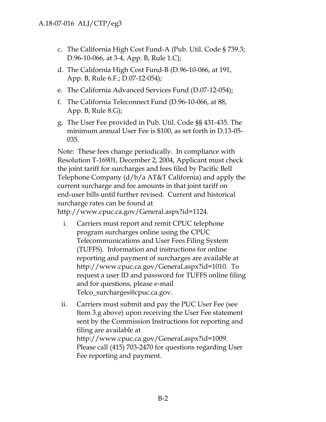- c. The California High Cost Fund-A (Pub. Util. Code § 739.3; D.96-10-066, at 3-4, App. B, Rule 1.C);
- d. The California High Cost Fund-B (D.96-10-066, at 191, App. B, Rule 6.F.; D.07-12-054);
- e. The California Advanced Services Fund (D.07-12-054);
- f. The California Teleconnect Fund (D.96-10-066, at 88, App. B, Rule 8.G);
- g. The User Fee provided in Pub. Util. Code §§ 431-435. The minimum annual User Fee is \$100, as set forth in D.13-05- 035.

Note: These fees change periodically. In compliance with Resolution T-16901, December 2, 2004, Applicant must check the joint tariff for surcharges and fees filed by Pacific Bell Telephone Company (d/b/a AT&T California) and apply the current surcharge and fee amounts in that joint tariff on end-user bills until further revised. Current and historical surcharge rates can be found at [http://www.cpuc.ca.gov/General.aspx?id=1124.](http://www.cpuc.ca.gov/General.aspx?id=1124)

- i. Carriers must report and remit CPUC telephone program surcharges online using the CPUC Telecommunications and User Fees Filing System (TUFFS). Information and instructions for online reporting and payment of surcharges are available at [http://www.cpuc.ca.gov/General.aspx?id=1010.](http://www.cpuc.ca.gov/General.aspx?id=1010) To request a user ID and password for TUFFS online filing and for questions, please e-mail [Telco\\_surcharges@cpuc.ca.gov.](mailto:Telco_surcharges@cpuc.ca.gov)
- ii. Carriers must submit and pay the PUC User Fee (see Item 3.g above) upon receiving the User Fee statement sent by the Commission Instructions for reporting and filing are available at [http://www.cpuc.ca.gov/General.aspx?id=1009.](http://www.cpuc.ca.gov/General.aspx?id=1009) Please call (415) 703-2470 for questions regarding User Fee reporting and payment.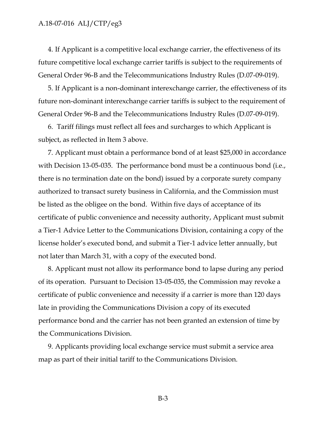4. If Applicant is a competitive local exchange carrier, the effectiveness of its future competitive local exchange carrier tariffs is subject to the requirements of General Order 96-B and the Telecommunications Industry Rules (D.07-09-019).

5. If Applicant is a non-dominant interexchange carrier, the effectiveness of its future non-dominant interexchange carrier tariffs is subject to the requirement of General Order 96-B and the Telecommunications Industry Rules (D.07-09-019).

6. Tariff filings must reflect all fees and surcharges to which Applicant is subject, as reflected in Item 3 above.

7. Applicant must obtain a performance bond of at least \$25,000 in accordance with Decision 13-05-035. The performance bond must be a continuous bond (i.e., there is no termination date on the bond) issued by a corporate surety company authorized to transact surety business in California, and the Commission must be listed as the obligee on the bond. Within five days of acceptance of its certificate of public convenience and necessity authority, Applicant must submit a Tier-1 Advice Letter to the Communications Division, containing a copy of the license holder's executed bond, and submit a Tier-1 advice letter annually, but not later than March 31, with a copy of the executed bond.

8. Applicant must not allow its performance bond to lapse during any period of its operation. Pursuant to Decision 13-05-035, the Commission may revoke a certificate of public convenience and necessity if a carrier is more than 120 days late in providing the Communications Division a copy of its executed performance bond and the carrier has not been granted an extension of time by the Communications Division.

9. Applicants providing local exchange service must submit a service area map as part of their initial tariff to the Communications Division.

B-3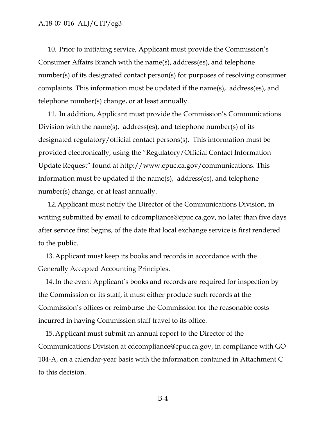10. Prior to initiating service, Applicant must provide the Commission's Consumer Affairs Branch with the name(s), address(es), and telephone number(s) of its designated contact person(s) for purposes of resolving consumer complaints. This information must be updated if the name(s), address(es), and telephone number(s) change, or at least annually.

11. In addition, Applicant must provide the Commission's Communications Division with the name(s), address(es), and telephone number(s) of its designated regulatory/official contact persons(s). This information must be provided electronically, using the "Regulatory/Official Contact Information Update Request" found at [http://www.cpuc.ca.gov/communications.](http://www.cpuc.ca.gov/communications) This information must be updated if the name(s), address(es), and telephone number(s) change, or at least annually.

12.Applicant must notify the Director of the Communications Division, in writing submitted by email to [cdcompliance@cpuc.ca.gov,](mailto:cdcompliance@cpuc.ca.gov) no later than five days after service first begins, of the date that local exchange service is first rendered to the public.

13.Applicant must keep its books and records in accordance with the Generally Accepted Accounting Principles.

14.In the event Applicant's books and records are required for inspection by the Commission or its staff, it must either produce such records at the Commission's offices or reimburse the Commission for the reasonable costs incurred in having Commission staff travel to its office.

15.Applicant must submit an annual report to the Director of the Communications Division at [cdcompliance@cpuc.ca.gov,](mailto:cdcompliance@cpuc.ca.gov) in compliance with GO 104-A, on a calendar-year basis with the information contained in Attachment C to this decision.

B-4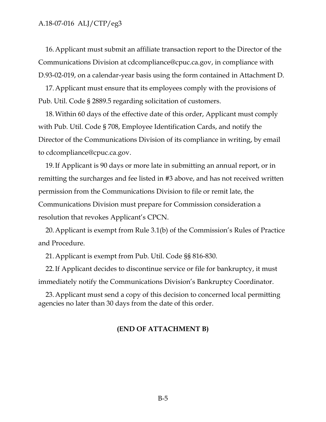16.Applicant must submit an affiliate transaction report to the Director of the Communications Division at [cdcompliance@cpuc.ca.gov,](mailto:cdcompliance@cpuc.ca.gov) in compliance with D.93-02-019, on a calendar-year basis using the form contained in Attachment D.

17.Applicant must ensure that its employees comply with the provisions of Pub. Util. Code § 2889.5 regarding solicitation of customers.

18.Within 60 days of the effective date of this order, Applicant must comply with Pub. Util. Code § 708, Employee Identification Cards, and notify the Director of the Communications Division of its compliance in writing, by email to [cdcompliance@cpuc.ca.gov.](mailto:cdcompliance@cpuc.ca.gov)

19.If Applicant is 90 days or more late in submitting an annual report, or in remitting the surcharges and fee listed in #3 above, and has not received written permission from the Communications Division to file or remit late, the Communications Division must prepare for Commission consideration a resolution that revokes Applicant's CPCN.

20.Applicant is exempt from Rule 3.1(b) of the Commission's Rules of Practice and Procedure.

21.Applicant is exempt from Pub. Util. Code §§ 816-830.

22.If Applicant decides to discontinue service or file for bankruptcy, it must immediately notify the Communications Division's Bankruptcy Coordinator.

23.Applicant must send a copy of this decision to concerned local permitting agencies no later than 30 days from the date of this order.

#### **(END OF ATTACHMENT B)**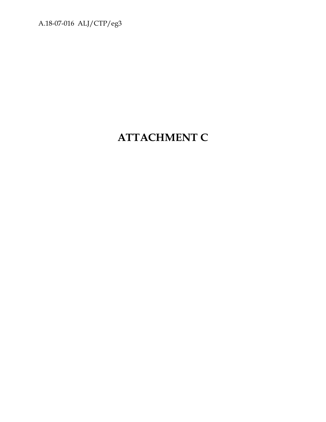## **ATTACHMENT C**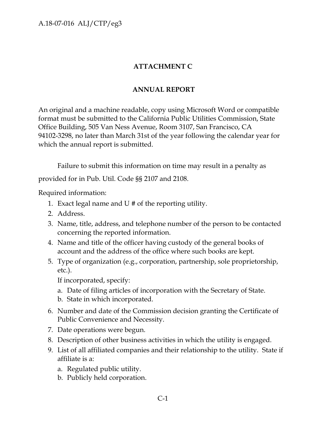## **ATTACHMENT C**

## **ANNUAL REPORT**

An original and a machine readable, copy using Microsoft Word or compatible format must be submitted to the California Public Utilities Commission, State Office Building, 505 Van Ness Avenue, Room 3107, San Francisco, CA 94102-3298, no later than March 31st of the year following the calendar year for which the annual report is submitted.

Failure to submit this information on time may result in a penalty as provided for in Pub. Util. Code §§ 2107 and 2108.

Required information:

- 1. Exact legal name and U # of the reporting utility.
- 2. Address.
- 3. Name, title, address, and telephone number of the person to be contacted concerning the reported information.
- 4. Name and title of the officer having custody of the general books of account and the address of the office where such books are kept.
- 5. Type of organization (e.g., corporation, partnership, sole proprietorship, etc.).

If incorporated, specify:

- a. Date of filing articles of incorporation with the Secretary of State.
- b. State in which incorporated.
- 6. Number and date of the Commission decision granting the Certificate of Public Convenience and Necessity.
- 7. Date operations were begun.
- 8. Description of other business activities in which the utility is engaged.
- 9. List of all affiliated companies and their relationship to the utility. State if affiliate is a:
	- a. Regulated public utility.
	- b. Publicly held corporation.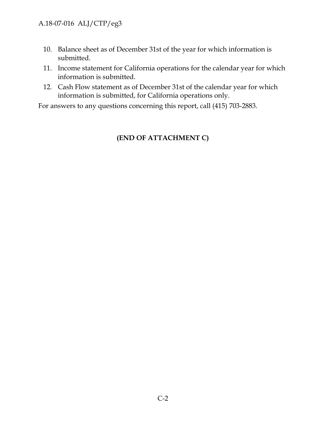- 10. Balance sheet as of December 31st of the year for which information is submitted.
- 11. Income statement for California operations for the calendar year for which information is submitted.
- 12. Cash Flow statement as of December 31st of the calendar year for which information is submitted, for California operations only.

For answers to any questions concerning this report, call (415) 703-2883.

## **(END OF ATTACHMENT C)**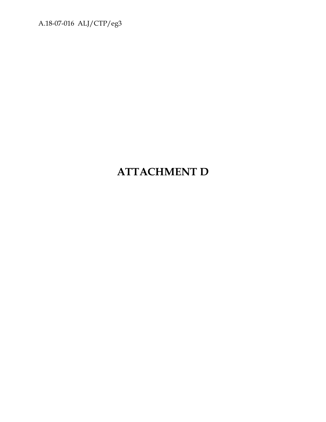## **ATTACHMENT D**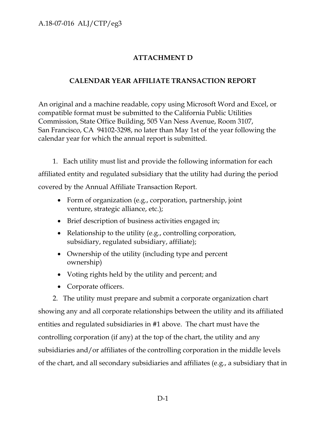## **ATTACHMENT D**

## **CALENDAR YEAR AFFILIATE TRANSACTION REPORT**

An original and a machine readable, copy using Microsoft Word and Excel, or compatible format must be submitted to the California Public Utilities Commission, State Office Building, 505 Van Ness Avenue, Room 3107, San Francisco, CA 94102-3298, no later than May 1st of the year following the calendar year for which the annual report is submitted.

1. Each utility must list and provide the following information for each affiliated entity and regulated subsidiary that the utility had during the period covered by the Annual Affiliate Transaction Report.

- Form of organization (e.g., corporation, partnership, joint venture, strategic alliance, etc.);
- Brief description of business activities engaged in;
- Relationship to the utility (e.g., controlling corporation, subsidiary, regulated subsidiary, affiliate);
- Ownership of the utility (including type and percent ownership)
- Voting rights held by the utility and percent; and
- Corporate officers.

2. The utility must prepare and submit a corporate organization chart showing any and all corporate relationships between the utility and its affiliated entities and regulated subsidiaries in #1 above. The chart must have the controlling corporation (if any) at the top of the chart, the utility and any subsidiaries and/or affiliates of the controlling corporation in the middle levels of the chart, and all secondary subsidiaries and affiliates (e.g., a subsidiary that in